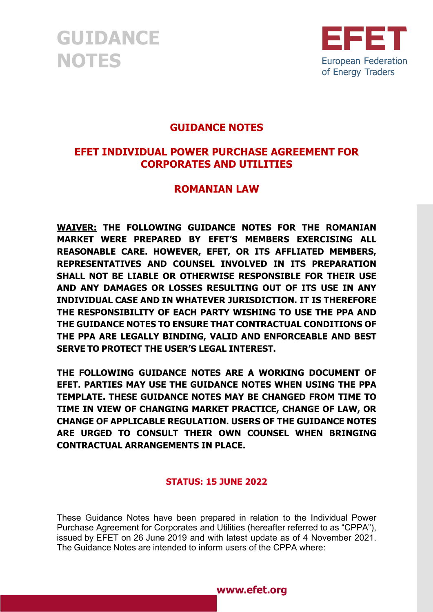

#### **GUIDANCE NOTES**

#### **EFET INDIVIDUAL POWER PURCHASE AGREEMENT FOR CORPORATES AND UTILITIES**

#### **ROMANIAN LAW**

**WAIVER: THE FOLLOWING GUIDANCE NOTES FOR THE ROMANIAN MARKET WERE PREPARED BY EFET'S MEMBERS EXERCISING ALL REASONABLE CARE. HOWEVER, EFET, OR ITS AFFLIATED MEMBERS, REPRESENTATIVES AND COUNSEL INVOLVED IN ITS PREPARATION SHALL NOT BE LIABLE OR OTHERWISE RESPONSIBLE FOR THEIR USE AND ANY DAMAGES OR LOSSES RESULTING OUT OF ITS USE IN ANY INDIVIDUAL CASE AND IN WHATEVER JURISDICTION. IT IS THEREFORE THE RESPONSIBILITY OF EACH PARTY WISHING TO USE THE PPA AND THE GUIDANCE NOTES TO ENSURE THAT CONTRACTUAL CONDITIONS OF THE PPA ARE LEGALLY BINDING, VALID AND ENFORCEABLE AND BEST SERVE TO PROTECT THE USER'S LEGAL INTEREST.**

**THE FOLLOWING GUIDANCE NOTES ARE A WORKING DOCUMENT OF EFET. PARTIES MAY USE THE GUIDANCE NOTES WHEN USING THE PPA TEMPLATE. THESE GUIDANCE NOTES MAY BE CHANGED FROM TIME TO TIME IN VIEW OF CHANGING MARKET PRACTICE, CHANGE OF LAW, OR CHANGE OF APPLICABLE REGULATION. USERS OF THE GUIDANCE NOTES ARE URGED TO CONSULT THEIR OWN COUNSEL WHEN BRINGING CONTRACTUAL ARRANGEMENTS IN PLACE.**

#### **STATUS: 15 JUNE 2022**

These Guidance Notes have been prepared in relation to the Individual Power Purchase Agreement for Corporates and Utilities (hereafter referred to as "CPPA"), issued by EFET on 26 June 2019 and with latest update as of 4 November 2021. The Guidance Notes are intended to inform users of the CPPA where:

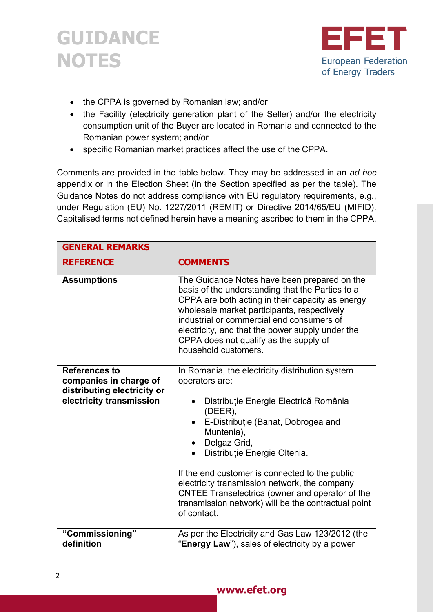



- the CPPA is governed by Romanian law; and/or
- the Facility (electricity generation plant of the Seller) and/or the electricity consumption unit of the Buyer are located in Romania and connected to the Romanian power system; and/or
- specific Romanian market practices affect the use of the CPPA.

Comments are provided in the table below. They may be addressed in an *ad hoc* appendix or in the Election Sheet (in the Section specified as per the table). The Guidance Notes do not address compliance with EU regulatory requirements, e.g., under Regulation (EU) No. 1227/2011 (REMIT) or Directive 2014/65/EU (MIFID). Capitalised terms not defined herein have a meaning ascribed to them in the CPPA.

| <b>GENERAL REMARKS</b>                                                                                    |                                                                                                                                                                                                                                                                                                                                                                                                                                                                                                           |
|-----------------------------------------------------------------------------------------------------------|-----------------------------------------------------------------------------------------------------------------------------------------------------------------------------------------------------------------------------------------------------------------------------------------------------------------------------------------------------------------------------------------------------------------------------------------------------------------------------------------------------------|
| <b>REFERENCE</b>                                                                                          | <b>COMMENTS</b>                                                                                                                                                                                                                                                                                                                                                                                                                                                                                           |
| <b>Assumptions</b>                                                                                        | The Guidance Notes have been prepared on the<br>basis of the understanding that the Parties to a<br>CPPA are both acting in their capacity as energy<br>wholesale market participants, respectively<br>industrial or commercial end consumers of<br>electricity, and that the power supply under the<br>CPPA does not qualify as the supply of<br>household customers.                                                                                                                                    |
| <b>References to</b><br>companies in charge of<br>distributing electricity or<br>electricity transmission | In Romania, the electricity distribution system<br>operators are:<br>Distribuție Energie Electrică România<br>$\bullet$<br>(DEER),<br>E-Distribuție (Banat, Dobrogea and<br>$\bullet$<br>Muntenia),<br>Delgaz Grid,<br>$\bullet$<br>Distribuție Energie Oltenia.<br>$\bullet$<br>If the end customer is connected to the public<br>electricity transmission network, the company<br>CNTEE Transelectrica (owner and operator of the<br>transmission network) will be the contractual point<br>of contact. |
| "Commissioning"<br>definition                                                                             | As per the Electricity and Gas Law 123/2012 (the<br>"Energy Law"), sales of electricity by a power                                                                                                                                                                                                                                                                                                                                                                                                        |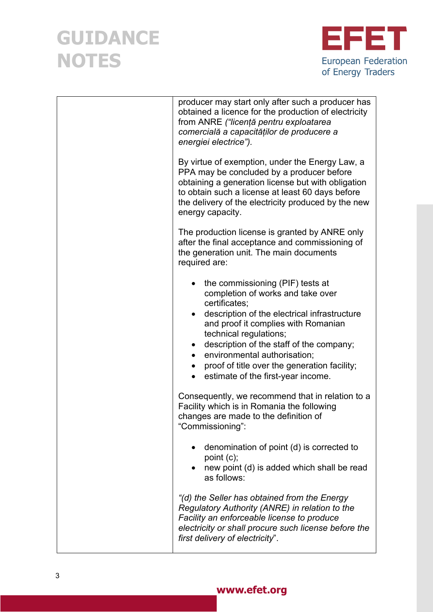

| producer may start only after such a producer has<br>obtained a licence for the production of electricity<br>from ANRE ("licență pentru exploatarea<br>comercială a capacităților de producere a<br>energiei electrice").                                                                                                                                                                           |
|-----------------------------------------------------------------------------------------------------------------------------------------------------------------------------------------------------------------------------------------------------------------------------------------------------------------------------------------------------------------------------------------------------|
| By virtue of exemption, under the Energy Law, a<br>PPA may be concluded by a producer before<br>obtaining a generation license but with obligation<br>to obtain such a license at least 60 days before<br>the delivery of the electricity produced by the new<br>energy capacity.                                                                                                                   |
| The production license is granted by ANRE only<br>after the final acceptance and commissioning of<br>the generation unit. The main documents<br>required are:                                                                                                                                                                                                                                       |
| the commissioning (PIF) tests at<br>completion of works and take over<br>certificates;<br>description of the electrical infrastructure<br>and proof it complies with Romanian<br>technical regulations;<br>description of the staff of the company;<br>$\bullet$<br>environmental authorisation;<br>$\bullet$<br>proof of title over the generation facility;<br>estimate of the first-year income. |
| Consequently, we recommend that in relation to a<br>Facility which is in Romania the following<br>changes are made to the definition of<br>"Commissioning":                                                                                                                                                                                                                                         |
| denomination of point (d) is corrected to<br>point (c);<br>new point (d) is added which shall be read<br>as follows:                                                                                                                                                                                                                                                                                |
| "(d) the Seller has obtained from the Energy<br>Regulatory Authority (ANRE) in relation to the<br>Facility an enforceable license to produce<br>electricity or shall procure such license before the<br>first delivery of electricity".                                                                                                                                                             |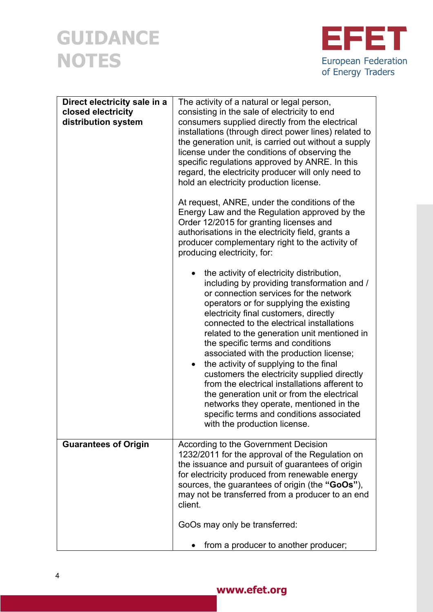

| Direct electricity sale in a<br>closed electricity<br>distribution system | The activity of a natural or legal person,<br>consisting in the sale of electricity to end<br>consumers supplied directly from the electrical<br>installations (through direct power lines) related to<br>the generation unit, is carried out without a supply<br>license under the conditions of observing the<br>specific regulations approved by ANRE. In this<br>regard, the electricity producer will only need to<br>hold an electricity production license.                                                                                                                                                                                                                                                |
|---------------------------------------------------------------------------|-------------------------------------------------------------------------------------------------------------------------------------------------------------------------------------------------------------------------------------------------------------------------------------------------------------------------------------------------------------------------------------------------------------------------------------------------------------------------------------------------------------------------------------------------------------------------------------------------------------------------------------------------------------------------------------------------------------------|
|                                                                           | At request, ANRE, under the conditions of the<br>Energy Law and the Regulation approved by the<br>Order 12/2015 for granting licenses and<br>authorisations in the electricity field, grants a<br>producer complementary right to the activity of<br>producing electricity, for:                                                                                                                                                                                                                                                                                                                                                                                                                                  |
|                                                                           | the activity of electricity distribution,<br>including by providing transformation and /<br>or connection services for the network<br>operators or for supplying the existing<br>electricity final customers, directly<br>connected to the electrical installations<br>related to the generation unit mentioned in<br>the specific terms and conditions<br>associated with the production license;<br>the activity of supplying to the final<br>customers the electricity supplied directly<br>from the electrical installations afferent to<br>the generation unit or from the electrical<br>networks they operate, mentioned in the<br>specific terms and conditions associated<br>with the production license. |
| <b>Guarantees of Origin</b>                                               | According to the Government Decision<br>1232/2011 for the approval of the Regulation on<br>the issuance and pursuit of guarantees of origin<br>for electricity produced from renewable energy<br>sources, the guarantees of origin (the "GoOs"),<br>may not be transferred from a producer to an end<br>client.<br>GoOs may only be transferred:                                                                                                                                                                                                                                                                                                                                                                  |
|                                                                           | from a producer to another producer;                                                                                                                                                                                                                                                                                                                                                                                                                                                                                                                                                                                                                                                                              |

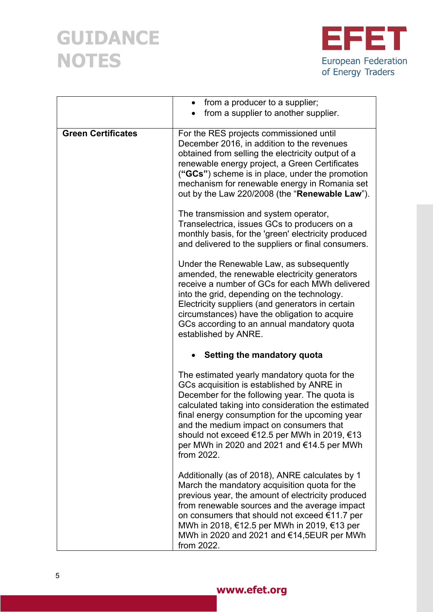

|                           | from a producer to a supplier;<br>$\bullet$                                                                                                                                                                                                                                                                                                                                                               |
|---------------------------|-----------------------------------------------------------------------------------------------------------------------------------------------------------------------------------------------------------------------------------------------------------------------------------------------------------------------------------------------------------------------------------------------------------|
|                           | from a supplier to another supplier.                                                                                                                                                                                                                                                                                                                                                                      |
| <b>Green Certificates</b> | For the RES projects commissioned until<br>December 2016, in addition to the revenues<br>obtained from selling the electricity output of a<br>renewable energy project, a Green Certificates<br>("GCs") scheme is in place, under the promotion<br>mechanism for renewable energy in Romania set<br>out by the Law 220/2008 (the "Renewable Law").                                                        |
|                           | The transmission and system operator,<br>Transelectrica, issues GCs to producers on a<br>monthly basis, for the 'green' electricity produced<br>and delivered to the suppliers or final consumers.                                                                                                                                                                                                        |
|                           | Under the Renewable Law, as subsequently<br>amended, the renewable electricity generators<br>receive a number of GCs for each MWh delivered<br>into the grid, depending on the technology.<br>Electricity suppliers (and generators in certain<br>circumstances) have the obligation to acquire<br>GCs according to an annual mandatory quota<br>established by ANRE.                                     |
|                           | Setting the mandatory quota                                                                                                                                                                                                                                                                                                                                                                               |
|                           | The estimated yearly mandatory quota for the<br>GCs acquisition is established by ANRE in<br>December for the following year. The quota is<br>calculated taking into consideration the estimated<br>final energy consumption for the upcoming year<br>and the medium impact on consumers that<br>should not exceed €12.5 per MWh in 2019, €13<br>per MWh in 2020 and 2021 and €14.5 per MWh<br>from 2022. |
|                           | Additionally (as of 2018), ANRE calculates by 1<br>March the mandatory acquisition quota for the<br>previous year, the amount of electricity produced<br>from renewable sources and the average impact<br>on consumers that should not exceed €11.7 per<br>MWh in 2018, €12.5 per MWh in 2019, €13 per<br>MWh in 2020 and 2021 and €14,5EUR per MWh<br>from 2022.                                         |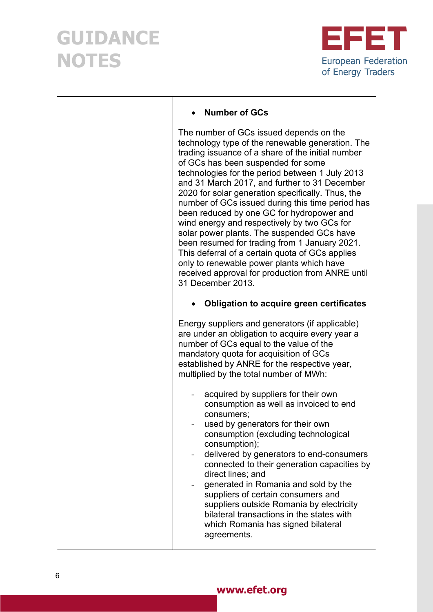

| <b>Number of GCs</b>                                                                                                                                                                                                                                                                                                                                                                                                                                                                                                                                                                                                                                                                                                                                                    |
|-------------------------------------------------------------------------------------------------------------------------------------------------------------------------------------------------------------------------------------------------------------------------------------------------------------------------------------------------------------------------------------------------------------------------------------------------------------------------------------------------------------------------------------------------------------------------------------------------------------------------------------------------------------------------------------------------------------------------------------------------------------------------|
| The number of GCs issued depends on the<br>technology type of the renewable generation. The<br>trading issuance of a share of the initial number<br>of GCs has been suspended for some<br>technologies for the period between 1 July 2013<br>and 31 March 2017, and further to 31 December<br>2020 for solar generation specifically. Thus, the<br>number of GCs issued during this time period has<br>been reduced by one GC for hydropower and<br>wind energy and respectively by two GCs for<br>solar power plants. The suspended GCs have<br>been resumed for trading from 1 January 2021.<br>This deferral of a certain quota of GCs applies<br>only to renewable power plants which have<br>received approval for production from ANRE until<br>31 December 2013. |
| <b>Obligation to acquire green certificates</b>                                                                                                                                                                                                                                                                                                                                                                                                                                                                                                                                                                                                                                                                                                                         |
| Energy suppliers and generators (if applicable)<br>are under an obligation to acquire every year a<br>number of GCs equal to the value of the<br>mandatory quota for acquisition of GCs<br>established by ANRE for the respective year,<br>multiplied by the total number of MWh:                                                                                                                                                                                                                                                                                                                                                                                                                                                                                       |
| acquired by suppliers for their own<br>consumption as well as invoiced to end<br>consumers;<br>used by generators for their own<br>consumption (excluding technological<br>consumption);<br>delivered by generators to end-consumers<br>connected to their generation capacities by<br>direct lines; and<br>generated in Romania and sold by the<br>suppliers of certain consumers and<br>suppliers outside Romania by electricity<br>bilateral transactions in the states with<br>which Romania has signed bilateral<br>agreements.                                                                                                                                                                                                                                    |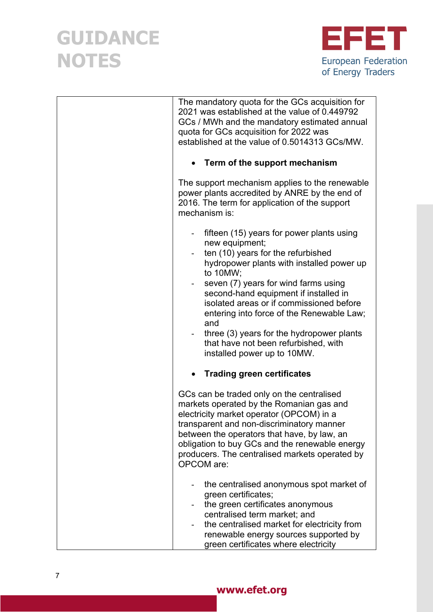

| The mandatory quota for the GCs acquisition for<br>2021 was established at the value of 0.449792<br>GCs / MWh and the mandatory estimated annual<br>quota for GCs acquisition for 2022 was<br>established at the value of 0.5014313 GCs/MW.                                                                                                                                                                                                                     |
|-----------------------------------------------------------------------------------------------------------------------------------------------------------------------------------------------------------------------------------------------------------------------------------------------------------------------------------------------------------------------------------------------------------------------------------------------------------------|
| • Term of the support mechanism                                                                                                                                                                                                                                                                                                                                                                                                                                 |
| The support mechanism applies to the renewable<br>power plants accredited by ANRE by the end of<br>2016. The term for application of the support<br>mechanism is:                                                                                                                                                                                                                                                                                               |
| fifteen (15) years for power plants using<br>new equipment;<br>ten (10) years for the refurbished<br>hydropower plants with installed power up<br>to 10MW:<br>seven (7) years for wind farms using<br>second-hand equipment if installed in<br>isolated areas or if commissioned before<br>entering into force of the Renewable Law;<br>and<br>three (3) years for the hydropower plants<br>that have not been refurbished, with<br>installed power up to 10MW. |
| <b>Trading green certificates</b>                                                                                                                                                                                                                                                                                                                                                                                                                               |
| GCs can be traded only on the centralised<br>markets operated by the Romanian gas and<br>electricity market operator (OPCOM) in a<br>transparent and non-discriminatory manner<br>between the operators that have, by law, an<br>obligation to buy GCs and the renewable energy<br>producers. The centralised markets operated by<br>OPCOM are:                                                                                                                 |
| the centralised anonymous spot market of<br>green certificates;<br>the green certificates anonymous<br>centralised term market; and<br>the centralised market for electricity from<br>renewable energy sources supported by<br>green certificates where electricity                                                                                                                                                                                             |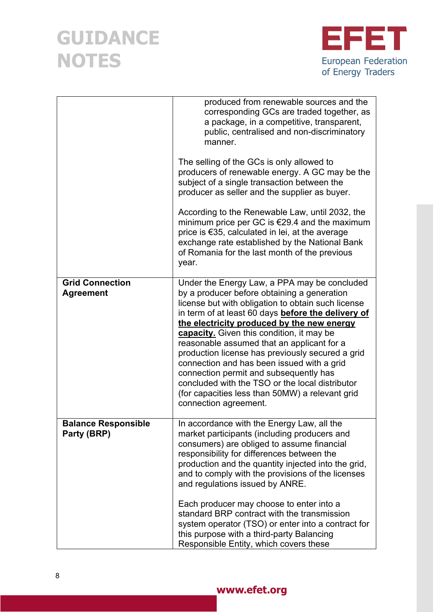

|                                            | produced from renewable sources and the<br>corresponding GCs are traded together, as<br>a package, in a competitive, transparent,<br>public, centralised and non-discriminatory<br>manner.<br>The selling of the GCs is only allowed to<br>producers of renewable energy. A GC may be the<br>subject of a single transaction between the<br>producer as seller and the supplier as buyer.<br>According to the Renewable Law, until 2032, the<br>minimum price per GC is $\epsilon$ 29.4 and the maximum<br>price is €35, calculated in lei, at the average<br>exchange rate established by the National Bank<br>of Romania for the last month of the previous<br>year. |
|--------------------------------------------|------------------------------------------------------------------------------------------------------------------------------------------------------------------------------------------------------------------------------------------------------------------------------------------------------------------------------------------------------------------------------------------------------------------------------------------------------------------------------------------------------------------------------------------------------------------------------------------------------------------------------------------------------------------------|
| <b>Grid Connection</b><br><b>Agreement</b> | Under the Energy Law, a PPA may be concluded<br>by a producer before obtaining a generation<br>license but with obligation to obtain such license<br>in term of at least 60 days before the delivery of<br>the electricity produced by the new energy<br>capacity. Given this condition, it may be<br>reasonable assumed that an applicant for a<br>production license has previously secured a grid<br>connection and has been issued with a grid<br>connection permit and subsequently has<br>concluded with the TSO or the local distributor<br>(for capacities less than 50MW) a relevant grid<br>connection agreement.                                            |
| <b>Balance Responsible</b><br>Party (BRP)  | In accordance with the Energy Law, all the<br>market participants (including producers and<br>consumers) are obliged to assume financial<br>responsibility for differences between the<br>production and the quantity injected into the grid,<br>and to comply with the provisions of the licenses<br>and regulations issued by ANRE.<br>Each producer may choose to enter into a<br>standard BRP contract with the transmission<br>system operator (TSO) or enter into a contract for<br>this purpose with a third-party Balancing<br>Responsible Entity, which covers these                                                                                          |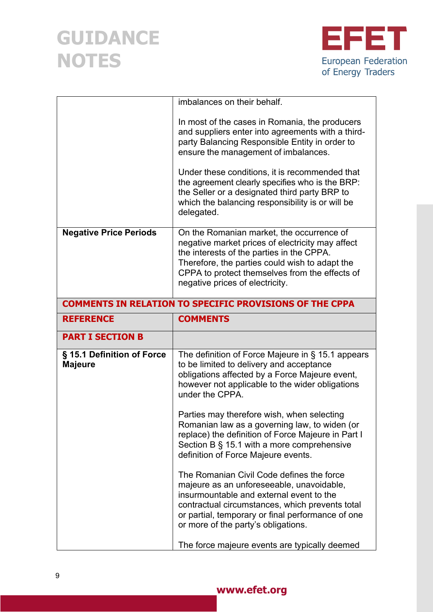

|                                              | imbalances on their behalf.                                                                                                                                                                                                                                                                                                                                                                                                                                                                                                                                                                                                                                                                                                                          |
|----------------------------------------------|------------------------------------------------------------------------------------------------------------------------------------------------------------------------------------------------------------------------------------------------------------------------------------------------------------------------------------------------------------------------------------------------------------------------------------------------------------------------------------------------------------------------------------------------------------------------------------------------------------------------------------------------------------------------------------------------------------------------------------------------------|
|                                              | In most of the cases in Romania, the producers<br>and suppliers enter into agreements with a third-<br>party Balancing Responsible Entity in order to<br>ensure the management of imbalances.<br>Under these conditions, it is recommended that<br>the agreement clearly specifies who is the BRP:<br>the Seller or a designated third party BRP to<br>which the balancing responsibility is or will be<br>delegated.                                                                                                                                                                                                                                                                                                                                |
| <b>Negative Price Periods</b>                | On the Romanian market, the occurrence of<br>negative market prices of electricity may affect<br>the interests of the parties in the CPPA.<br>Therefore, the parties could wish to adapt the<br>CPPA to protect themselves from the effects of<br>negative prices of electricity.                                                                                                                                                                                                                                                                                                                                                                                                                                                                    |
|                                              | <b>COMMENTS IN RELATION TO SPECIFIC PROVISIONS OF THE CPPA</b>                                                                                                                                                                                                                                                                                                                                                                                                                                                                                                                                                                                                                                                                                       |
| <b>REFERENCE</b>                             | <b>COMMENTS</b>                                                                                                                                                                                                                                                                                                                                                                                                                                                                                                                                                                                                                                                                                                                                      |
| <b>PART I SECTION B</b>                      |                                                                                                                                                                                                                                                                                                                                                                                                                                                                                                                                                                                                                                                                                                                                                      |
|                                              |                                                                                                                                                                                                                                                                                                                                                                                                                                                                                                                                                                                                                                                                                                                                                      |
| § 15.1 Definition of Force<br><b>Majeure</b> | The definition of Force Majeure in § 15.1 appears<br>to be limited to delivery and acceptance<br>obligations affected by a Force Majeure event,<br>however not applicable to the wider obligations<br>under the CPPA.<br>Parties may therefore wish, when selecting<br>Romanian law as a governing law, to widen (or<br>replace) the definition of Force Majeure in Part I<br>Section B § 15.1 with a more comprehensive<br>definition of Force Majeure events.<br>The Romanian Civil Code defines the force<br>majeure as an unforeseeable, unavoidable,<br>insurmountable and external event to the<br>contractual circumstances, which prevents total<br>or partial, temporary or final performance of one<br>or more of the party's obligations. |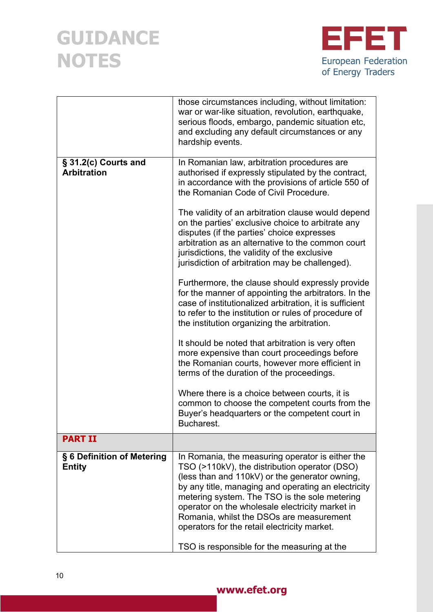

|                                             | those circumstances including, without limitation:<br>war or war-like situation, revolution, earthquake,<br>serious floods, embargo, pandemic situation etc,<br>and excluding any default circumstances or any<br>hardship events.                                                                                                                                                                                                                        |
|---------------------------------------------|-----------------------------------------------------------------------------------------------------------------------------------------------------------------------------------------------------------------------------------------------------------------------------------------------------------------------------------------------------------------------------------------------------------------------------------------------------------|
| § 31.2(c) Courts and<br><b>Arbitration</b>  | In Romanian law, arbitration procedures are<br>authorised if expressly stipulated by the contract,<br>in accordance with the provisions of article 550 of<br>the Romanian Code of Civil Procedure.                                                                                                                                                                                                                                                        |
|                                             | The validity of an arbitration clause would depend<br>on the parties' exclusive choice to arbitrate any<br>disputes (if the parties' choice expresses<br>arbitration as an alternative to the common court<br>jurisdictions, the validity of the exclusive<br>jurisdiction of arbitration may be challenged).                                                                                                                                             |
|                                             | Furthermore, the clause should expressly provide<br>for the manner of appointing the arbitrators. In the<br>case of institutionalized arbitration, it is sufficient<br>to refer to the institution or rules of procedure of<br>the institution organizing the arbitration.                                                                                                                                                                                |
|                                             | It should be noted that arbitration is very often<br>more expensive than court proceedings before<br>the Romanian courts, however more efficient in<br>terms of the duration of the proceedings.                                                                                                                                                                                                                                                          |
|                                             | Where there is a choice between courts, it is<br>common to choose the competent courts from the<br>Buyer's headquarters or the competent court in<br>Bucharest.                                                                                                                                                                                                                                                                                           |
| <b>PART II</b>                              |                                                                                                                                                                                                                                                                                                                                                                                                                                                           |
| § 6 Definition of Metering<br><b>Entity</b> | In Romania, the measuring operator is either the<br>TSO (>110kV), the distribution operator (DSO)<br>(less than and 110kV) or the generator owning,<br>by any title, managing and operating an electricity<br>metering system. The TSO is the sole metering<br>operator on the wholesale electricity market in<br>Romania, whilst the DSOs are measurement<br>operators for the retail electricity market.<br>TSO is responsible for the measuring at the |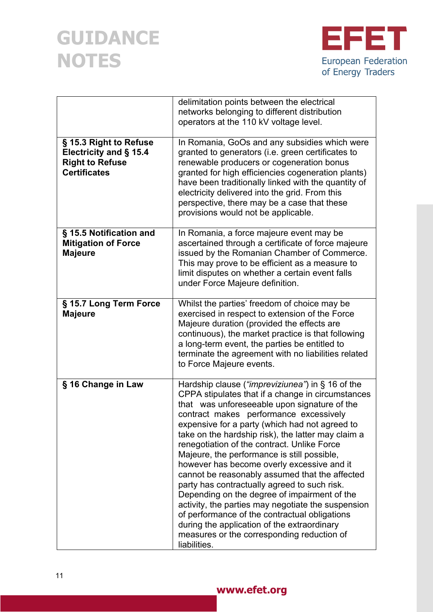

|                                                                                                   | delimitation points between the electrical<br>networks belonging to different distribution<br>operators at the 110 kV voltage level.                                                                                                                                                                                                                                                                                                                                                                                                                                                                                                                                                                                                                                                                                      |
|---------------------------------------------------------------------------------------------------|---------------------------------------------------------------------------------------------------------------------------------------------------------------------------------------------------------------------------------------------------------------------------------------------------------------------------------------------------------------------------------------------------------------------------------------------------------------------------------------------------------------------------------------------------------------------------------------------------------------------------------------------------------------------------------------------------------------------------------------------------------------------------------------------------------------------------|
| § 15.3 Right to Refuse<br>Electricity and § 15.4<br><b>Right to Refuse</b><br><b>Certificates</b> | In Romania, GoOs and any subsidies which were<br>granted to generators (i.e. green certificates to<br>renewable producers or cogeneration bonus<br>granted for high efficiencies cogeneration plants)<br>have been traditionally linked with the quantity of<br>electricity delivered into the grid. From this<br>perspective, there may be a case that these<br>provisions would not be applicable.                                                                                                                                                                                                                                                                                                                                                                                                                      |
| § 15.5 Notification and<br><b>Mitigation of Force</b><br><b>Majeure</b>                           | In Romania, a force majeure event may be<br>ascertained through a certificate of force majeure<br>issued by the Romanian Chamber of Commerce.<br>This may prove to be efficient as a measure to<br>limit disputes on whether a certain event falls<br>under Force Majeure definition.                                                                                                                                                                                                                                                                                                                                                                                                                                                                                                                                     |
| § 15.7 Long Term Force<br><b>Majeure</b>                                                          | Whilst the parties' freedom of choice may be<br>exercised in respect to extension of the Force<br>Majeure duration (provided the effects are<br>continuous), the market practice is that following<br>a long-term event, the parties be entitled to<br>terminate the agreement with no liabilities related<br>to Force Majeure events.                                                                                                                                                                                                                                                                                                                                                                                                                                                                                    |
| § 16 Change in Law                                                                                | Hardship clause ("impreviziunea") in § 16 of the<br>CPPA stipulates that if a change in circumstances<br>that was unforeseeable upon signature of the<br>contract makes performance excessively<br>expensive for a party (which had not agreed to<br>take on the hardship risk), the latter may claim a<br>renegotiation of the contract. Unlike Force<br>Majeure, the performance is still possible,<br>however has become overly excessive and it<br>cannot be reasonably assumed that the affected<br>party has contractually agreed to such risk.<br>Depending on the degree of impairment of the<br>activity, the parties may negotiate the suspension<br>of performance of the contractual obligations<br>during the application of the extraordinary<br>measures or the corresponding reduction of<br>liabilities. |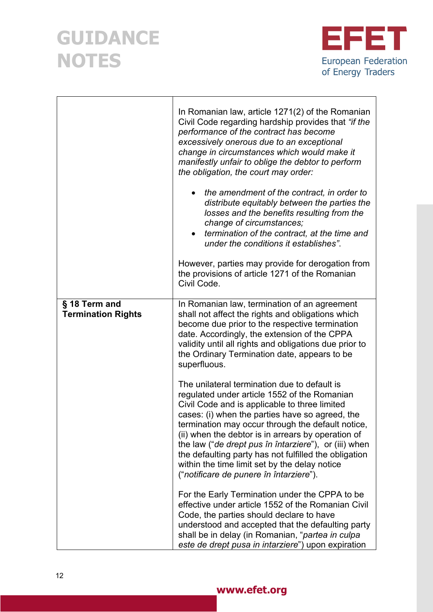

|                                            | In Romanian law, article 1271(2) of the Romanian<br>Civil Code regarding hardship provides that "if the<br>performance of the contract has become<br>excessively onerous due to an exceptional<br>change in circumstances which would make it<br>manifestly unfair to oblige the debtor to perform<br>the obligation, the court may order:<br>the amendment of the contract, in order to<br>$\bullet$<br>distribute equitably between the parties the<br>losses and the benefits resulting from the<br>change of circumstances;<br>termination of the contract, at the time and<br>under the conditions it establishes".<br>However, parties may provide for derogation from<br>the provisions of article 1271 of the Romanian<br>Civil Code. |
|--------------------------------------------|-----------------------------------------------------------------------------------------------------------------------------------------------------------------------------------------------------------------------------------------------------------------------------------------------------------------------------------------------------------------------------------------------------------------------------------------------------------------------------------------------------------------------------------------------------------------------------------------------------------------------------------------------------------------------------------------------------------------------------------------------|
| § 18 Term and<br><b>Termination Rights</b> | In Romanian law, termination of an agreement<br>shall not affect the rights and obligations which<br>become due prior to the respective termination<br>date. Accordingly, the extension of the CPPA<br>validity until all rights and obligations due prior to<br>the Ordinary Termination date, appears to be<br>superfluous.                                                                                                                                                                                                                                                                                                                                                                                                                 |
|                                            | The unilateral termination due to default is<br>regulated under article 1552 of the Romanian<br>Civil Code and is applicable to three limited<br>cases: (i) when the parties have so agreed, the<br>termination may occur through the default notice,<br>(ii) when the debtor is in arrears by operation of<br>the law ("de drept pus în întarziere"), or (iii) when<br>the defaulting party has not fulfilled the obligation<br>within the time limit set by the delay notice<br>("notificare de punere în întarziere").                                                                                                                                                                                                                     |
|                                            | For the Early Termination under the CPPA to be<br>effective under article 1552 of the Romanian Civil<br>Code, the parties should declare to have<br>understood and accepted that the defaulting party<br>shall be in delay (in Romanian, "partea in culpa<br>este de drept pusa in intarziere") upon expiration                                                                                                                                                                                                                                                                                                                                                                                                                               |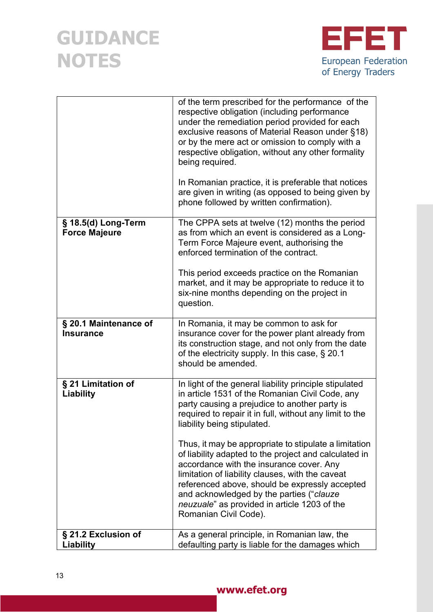

|                                             | of the term prescribed for the performance of the<br>respective obligation (including performance<br>under the remediation period provided for each<br>exclusive reasons of Material Reason under §18)<br>or by the mere act or omission to comply with a<br>respective obligation, without any other formality<br>being required.<br>In Romanian practice, it is preferable that notices<br>are given in writing (as opposed to being given by<br>phone followed by written confirmation).                                                                                                                                                    |
|---------------------------------------------|------------------------------------------------------------------------------------------------------------------------------------------------------------------------------------------------------------------------------------------------------------------------------------------------------------------------------------------------------------------------------------------------------------------------------------------------------------------------------------------------------------------------------------------------------------------------------------------------------------------------------------------------|
| § 18.5(d) Long-Term<br><b>Force Majeure</b> | The CPPA sets at twelve (12) months the period<br>as from which an event is considered as a Long-<br>Term Force Majeure event, authorising the<br>enforced termination of the contract.<br>This period exceeds practice on the Romanian<br>market, and it may be appropriate to reduce it to<br>six-nine months depending on the project in<br>question.                                                                                                                                                                                                                                                                                       |
| § 20.1 Maintenance of<br><b>Insurance</b>   | In Romania, it may be common to ask for<br>insurance cover for the power plant already from<br>its construction stage, and not only from the date<br>of the electricity supply. In this case, § 20.1<br>should be amended.                                                                                                                                                                                                                                                                                                                                                                                                                     |
| § 21 Limitation of<br>Liability             | In light of the general liability principle stipulated<br>in article 1531 of the Romanian Civil Code, any<br>party causing a prejudice to another party is<br>required to repair it in full, without any limit to the<br>liability being stipulated.<br>Thus, it may be appropriate to stipulate a limitation<br>of liability adapted to the project and calculated in<br>accordance with the insurance cover. Any<br>limitation of liability clauses, with the caveat<br>referenced above, should be expressly accepted<br>and acknowledged by the parties ("clauze"<br>neuzuale" as provided in article 1203 of the<br>Romanian Civil Code). |
| § 21.2 Exclusion of<br>Liability            | As a general principle, in Romanian law, the<br>defaulting party is liable for the damages which                                                                                                                                                                                                                                                                                                                                                                                                                                                                                                                                               |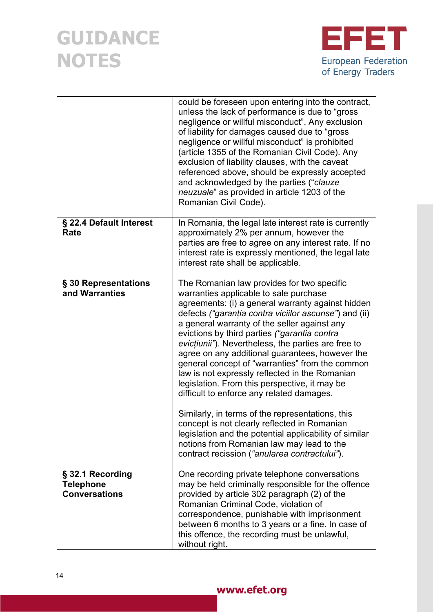

|                                                              | could be foreseen upon entering into the contract,<br>unless the lack of performance is due to "gross"<br>negligence or willful misconduct". Any exclusion<br>of liability for damages caused due to "gross"<br>negligence or willful misconduct" is prohibited<br>(article 1355 of the Romanian Civil Code). Any<br>exclusion of liability clauses, with the caveat<br>referenced above, should be expressly accepted<br>and acknowledged by the parties ("clauze<br>neuzuale" as provided in article 1203 of the<br>Romanian Civil Code).                                                                                                                                                                                                                                                                                                                                 |
|--------------------------------------------------------------|-----------------------------------------------------------------------------------------------------------------------------------------------------------------------------------------------------------------------------------------------------------------------------------------------------------------------------------------------------------------------------------------------------------------------------------------------------------------------------------------------------------------------------------------------------------------------------------------------------------------------------------------------------------------------------------------------------------------------------------------------------------------------------------------------------------------------------------------------------------------------------|
| § 22.4 Default Interest<br>Rate                              | In Romania, the legal late interest rate is currently<br>approximately 2% per annum, however the<br>parties are free to agree on any interest rate. If no<br>interest rate is expressly mentioned, the legal late<br>interest rate shall be applicable.                                                                                                                                                                                                                                                                                                                                                                                                                                                                                                                                                                                                                     |
| § 30 Representations<br>and Warranties                       | The Romanian law provides for two specific<br>warranties applicable to sale purchase<br>agreements: (i) a general warranty against hidden<br>defects ("garanția contra viciilor ascunse") and (ii)<br>a general warranty of the seller against any<br>evictions by third parties ("garantia contra<br>evicțiunii"). Nevertheless, the parties are free to<br>agree on any additional guarantees, however the<br>general concept of "warranties" from the common<br>law is not expressly reflected in the Romanian<br>legislation. From this perspective, it may be<br>difficult to enforce any related damages.<br>Similarly, in terms of the representations, this<br>concept is not clearly reflected in Romanian<br>legislation and the potential applicability of similar<br>notions from Romanian law may lead to the<br>contract recission ("anularea contractului"). |
| § 32.1 Recording<br><b>Telephone</b><br><b>Conversations</b> | One recording private telephone conversations<br>may be held criminally responsible for the offence<br>provided by article 302 paragraph (2) of the<br>Romanian Criminal Code, violation of<br>correspondence, punishable with imprisonment<br>between 6 months to 3 years or a fine. In case of<br>this offence, the recording must be unlawful,<br>without right.                                                                                                                                                                                                                                                                                                                                                                                                                                                                                                         |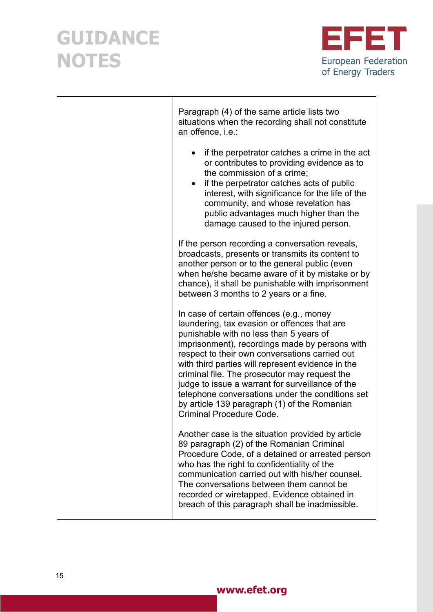

| Paragraph (4) of the same article lists two<br>situations when the recording shall not constitute<br>an offence, i.e.:                                                                                                                                                                                                                                                                                                                                                                                                                   |
|------------------------------------------------------------------------------------------------------------------------------------------------------------------------------------------------------------------------------------------------------------------------------------------------------------------------------------------------------------------------------------------------------------------------------------------------------------------------------------------------------------------------------------------|
| if the perpetrator catches a crime in the act<br>$\bullet$<br>or contributes to providing evidence as to<br>the commission of a crime:<br>if the perpetrator catches acts of public<br>$\bullet$<br>interest, with significance for the life of the<br>community, and whose revelation has<br>public advantages much higher than the<br>damage caused to the injured person.                                                                                                                                                             |
| If the person recording a conversation reveals,<br>broadcasts, presents or transmits its content to<br>another person or to the general public (even<br>when he/she became aware of it by mistake or by<br>chance), it shall be punishable with imprisonment<br>between 3 months to 2 years or a fine.                                                                                                                                                                                                                                   |
| In case of certain offences (e.g., money<br>laundering, tax evasion or offences that are<br>punishable with no less than 5 years of<br>imprisonment), recordings made by persons with<br>respect to their own conversations carried out<br>with third parties will represent evidence in the<br>criminal file. The prosecutor may request the<br>judge to issue a warrant for surveillance of the<br>telephone conversations under the conditions set<br>by article 139 paragraph (1) of the Romanian<br><b>Criminal Procedure Code.</b> |
| Another case is the situation provided by article<br>89 paragraph (2) of the Romanian Criminal<br>Procedure Code, of a detained or arrested person<br>who has the right to confidentiality of the<br>communication carried out with his/her counsel.<br>The conversations between them cannot be<br>recorded or wiretapped. Evidence obtained in<br>breach of this paragraph shall be inadmissible.                                                                                                                                      |